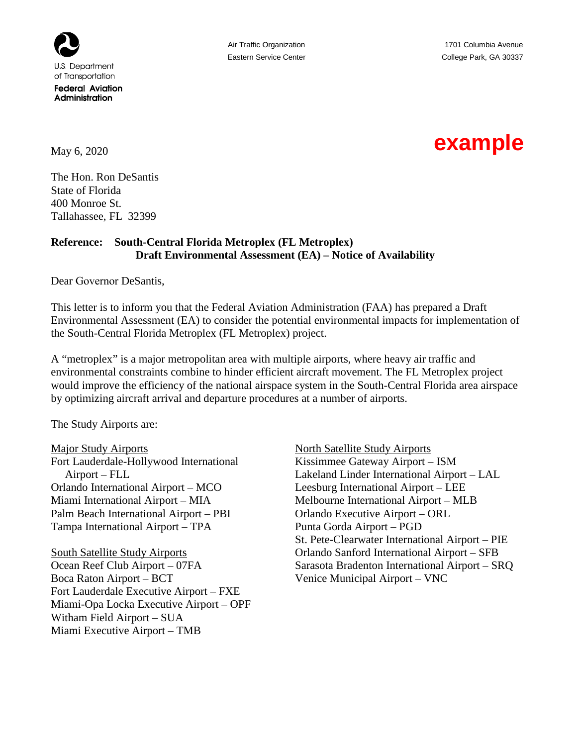

May 6, 2020

The Hon. Ron DeSantis State of Florida 400 Monroe St. Tallahassee, FL 32399

## **Reference: South-Central Florida Metroplex (FL Metroplex) Draft Environmental Assessment (EA) – Notice of Availability**

Dear Governor DeSantis,

This letter is to inform you that the Federal Aviation Administration (FAA) has prepared a Draft Environmental Assessment (EA) to consider the potential environmental impacts for implementation of the South-Central Florida Metroplex (FL Metroplex) project.

A "metroplex" is a major metropolitan area with multiple airports, where heavy air traffic and environmental constraints combine to hinder efficient aircraft movement. The FL Metroplex project would improve the efficiency of the national airspace system in the South-Central Florida area airspace by optimizing aircraft arrival and departure procedures at a number of airports.

The Study Airports are:

Major Study Airports Fort Lauderdale-Hollywood International Airport – FLL Orlando International Airport – MCO Miami International Airport – MIA Palm Beach International Airport – PBI Tampa International Airport – TPA

South Satellite Study Airports Ocean Reef Club Airport – 07FA Boca Raton Airport – BCT Fort Lauderdale Executive Airport – FXE Miami-Opa Locka Executive Airport – OPF Witham Field Airport – SUA Miami Executive Airport – TMB

North Satellite Study Airports Kissimmee Gateway Airport – ISM Lakeland Linder International Airport – LAL Leesburg International Airport – LEE Melbourne International Airport – MLB Orlando Executive Airport – ORL Punta Gorda Airport – PGD St. Pete-Clearwater International Airport – PIE Orlando Sanford International Airport – SFB Sarasota Bradenton International Airport – SRQ Venice Municipal Airport – VNC

## **example**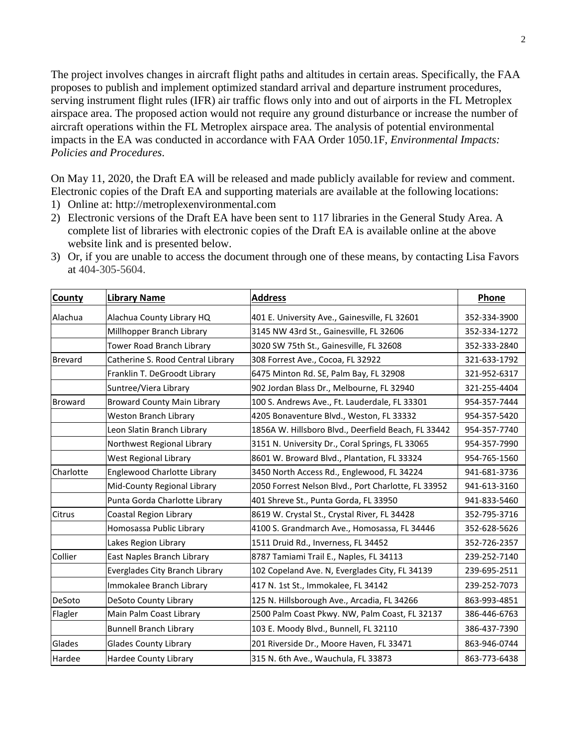The project involves changes in aircraft flight paths and altitudes in certain areas. Specifically, the FAA proposes to publish and implement optimized standard arrival and departure instrument procedures, serving instrument flight rules (IFR) air traffic flows only into and out of airports in the FL Metroplex airspace area. The proposed action would not require any ground disturbance or increase the number of aircraft operations within the FL Metroplex airspace area. The analysis of potential environmental impacts in the EA was conducted in accordance with FAA Order 1050.1F, *Environmental Impacts: Policies and Procedures*.

On May 11, 2020, the Draft EA will be released and made publicly available for review and comment. Electronic copies of the Draft EA and supporting materials are available at the following locations:

- 1) Online at: http://metroplexenvironmental.com
- 2) Electronic versions of the Draft EA have been sent to 117 libraries in the General Study Area. A complete list of libraries with electronic copies of the Draft EA is available online at the above website link and is presented below.

| <b>County</b>  | <b>Library Name</b>                | <b>Address</b>                                      | Phone        |
|----------------|------------------------------------|-----------------------------------------------------|--------------|
| Alachua        | Alachua County Library HQ          | 401 E. University Ave., Gainesville, FL 32601       | 352-334-3900 |
|                | Millhopper Branch Library          | 3145 NW 43rd St., Gainesville, FL 32606             | 352-334-1272 |
|                | Tower Road Branch Library          | 3020 SW 75th St., Gainesville, FL 32608             | 352-333-2840 |
| <b>Brevard</b> | Catherine S. Rood Central Library  | 308 Forrest Ave., Cocoa, FL 32922                   | 321-633-1792 |
|                | Franklin T. DeGroodt Library       | 6475 Minton Rd. SE, Palm Bay, FL 32908              | 321-952-6317 |
|                | Suntree/Viera Library              | 902 Jordan Blass Dr., Melbourne, FL 32940           | 321-255-4404 |
| <b>Broward</b> | <b>Broward County Main Library</b> | 100 S. Andrews Ave., Ft. Lauderdale, FL 33301       | 954-357-7444 |
|                | <b>Weston Branch Library</b>       | 4205 Bonaventure Blvd., Weston, FL 33332            | 954-357-5420 |
|                | Leon Slatin Branch Library         | 1856A W. Hillsboro Blvd., Deerfield Beach, FL 33442 | 954-357-7740 |
|                | Northwest Regional Library         | 3151 N. University Dr., Coral Springs, FL 33065     | 954-357-7990 |
|                | West Regional Library              | 8601 W. Broward Blvd., Plantation, FL 33324         | 954-765-1560 |
| Charlotte      | Englewood Charlotte Library        | 3450 North Access Rd., Englewood, FL 34224          | 941-681-3736 |
|                | Mid-County Regional Library        | 2050 Forrest Nelson Blvd., Port Charlotte, FL 33952 | 941-613-3160 |
|                | Punta Gorda Charlotte Library      | 401 Shreve St., Punta Gorda, FL 33950               | 941-833-5460 |
| Citrus         | Coastal Region Library             | 8619 W. Crystal St., Crystal River, FL 34428        | 352-795-3716 |
|                | Homosassa Public Library           | 4100 S. Grandmarch Ave., Homosassa, FL 34446        | 352-628-5626 |
|                | Lakes Region Library               | 1511 Druid Rd., Inverness, FL 34452                 | 352-726-2357 |
| Collier        | East Naples Branch Library         | 8787 Tamiami Trail E., Naples, FL 34113             | 239-252-7140 |
|                | Everglades City Branch Library     | 102 Copeland Ave. N, Everglades City, FL 34139      | 239-695-2511 |
|                | Immokalee Branch Library           | 417 N. 1st St., Immokalee, FL 34142                 | 239-252-7073 |
| DeSoto         | DeSoto County Library              | 125 N. Hillsborough Ave., Arcadia, FL 34266         | 863-993-4851 |
| Flagler        | Main Palm Coast Library            | 2500 Palm Coast Pkwy. NW, Palm Coast, FL 32137      | 386-446-6763 |
|                | <b>Bunnell Branch Library</b>      | 103 E. Moody Blvd., Bunnell, FL 32110               | 386-437-7390 |
| Glades         | <b>Glades County Library</b>       | 201 Riverside Dr., Moore Haven, FL 33471            | 863-946-0744 |
| Hardee         | Hardee County Library              | 315 N. 6th Ave., Wauchula, FL 33873                 | 863-773-6438 |

3) Or, if you are unable to access the document through one of these means, by contacting Lisa Favors at 404-305-5604.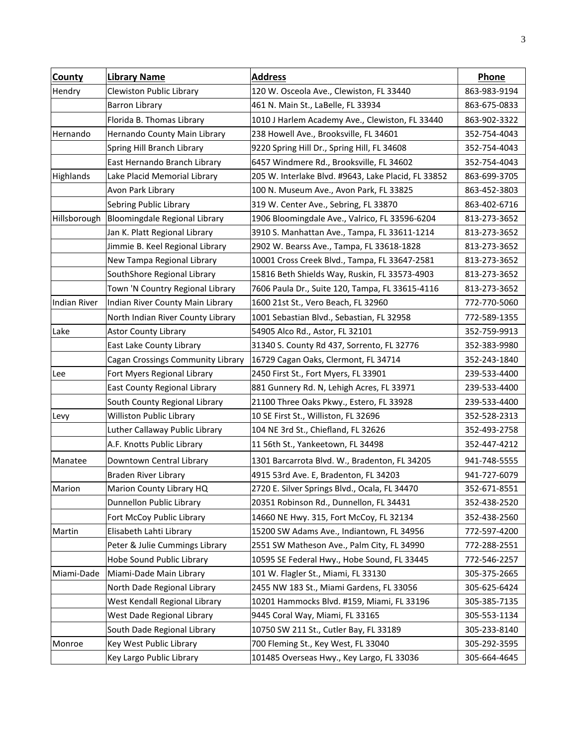| County           | <b>Library Name</b>               | <b>Address</b>                                      | Phone        |
|------------------|-----------------------------------|-----------------------------------------------------|--------------|
| Hendry           | Clewiston Public Library          | 120 W. Osceola Ave., Clewiston, FL 33440            | 863-983-9194 |
|                  | <b>Barron Library</b>             | 461 N. Main St., LaBelle, FL 33934                  | 863-675-0833 |
|                  | Florida B. Thomas Library         | 1010 J Harlem Academy Ave., Clewiston, FL 33440     | 863-902-3322 |
| Hernando         | Hernando County Main Library      | 238 Howell Ave., Brooksville, FL 34601              | 352-754-4043 |
|                  | Spring Hill Branch Library        | 9220 Spring Hill Dr., Spring Hill, FL 34608         | 352-754-4043 |
|                  | East Hernando Branch Library      | 6457 Windmere Rd., Brooksville, FL 34602            | 352-754-4043 |
| <b>Highlands</b> | Lake Placid Memorial Library      | 205 W. Interlake Blvd. #9643, Lake Placid, FL 33852 | 863-699-3705 |
|                  | Avon Park Library                 | 100 N. Museum Ave., Avon Park, FL 33825             | 863-452-3803 |
|                  | Sebring Public Library            | 319 W. Center Ave., Sebring, FL 33870               | 863-402-6716 |
| Hillsborough     | Bloomingdale Regional Library     | 1906 Bloomingdale Ave., Valrico, FL 33596-6204      | 813-273-3652 |
|                  | Jan K. Platt Regional Library     | 3910 S. Manhattan Ave., Tampa, FL 33611-1214        | 813-273-3652 |
|                  | Jimmie B. Keel Regional Library   | 2902 W. Bearss Ave., Tampa, FL 33618-1828           | 813-273-3652 |
|                  | New Tampa Regional Library        | 10001 Cross Creek Blvd., Tampa, FL 33647-2581       | 813-273-3652 |
|                  | SouthShore Regional Library       | 15816 Beth Shields Way, Ruskin, FL 33573-4903       | 813-273-3652 |
|                  | Town 'N Country Regional Library  | 7606 Paula Dr., Suite 120, Tampa, FL 33615-4116     | 813-273-3652 |
| Indian River     | Indian River County Main Library  | 1600 21st St., Vero Beach, FL 32960                 | 772-770-5060 |
|                  | North Indian River County Library | 1001 Sebastian Blvd., Sebastian, FL 32958           | 772-589-1355 |
| Lake             | <b>Astor County Library</b>       | 54905 Alco Rd., Astor, FL 32101                     | 352-759-9913 |
|                  | East Lake County Library          | 31340 S. County Rd 437, Sorrento, FL 32776          | 352-383-9980 |
|                  | Cagan Crossings Community Library | 16729 Cagan Oaks, Clermont, FL 34714                | 352-243-1840 |
| Lee              | Fort Myers Regional Library       | 2450 First St., Fort Myers, FL 33901                | 239-533-4400 |
|                  | East County Regional Library      | 881 Gunnery Rd. N, Lehigh Acres, FL 33971           | 239-533-4400 |
|                  | South County Regional Library     | 21100 Three Oaks Pkwy., Estero, FL 33928            | 239-533-4400 |
| Levy             | Williston Public Library          | 10 SE First St., Williston, FL 32696                | 352-528-2313 |
|                  | Luther Callaway Public Library    | 104 NE 3rd St., Chiefland, FL 32626                 | 352-493-2758 |
|                  | A.F. Knotts Public Library        | 11 56th St., Yankeetown, FL 34498                   | 352-447-4212 |
| Manatee          | Downtown Central Library          | 1301 Barcarrota Blvd. W., Bradenton, FL 34205       | 941-748-5555 |
|                  | Braden River Library              | 4915 53rd Ave. E, Bradenton, FL 34203               | 941-727-6079 |
| Marion           | Marion County Library HQ          | 2720 E. Silver Springs Blvd., Ocala, FL 34470       | 352-671-8551 |
|                  | Dunnellon Public Library          | 20351 Robinson Rd., Dunnellon, FL 34431             | 352-438-2520 |
|                  | Fort McCoy Public Library         | 14660 NE Hwy. 315, Fort McCoy, FL 32134             | 352-438-2560 |
| Martin           | Elisabeth Lahti Library           | 15200 SW Adams Ave., Indiantown, FL 34956           | 772-597-4200 |
|                  | Peter & Julie Cummings Library    | 2551 SW Matheson Ave., Palm City, FL 34990          | 772-288-2551 |
|                  | Hobe Sound Public Library         | 10595 SE Federal Hwy., Hobe Sound, FL 33445         | 772-546-2257 |
| Miami-Dade       | Miami-Dade Main Library           | 101 W. Flagler St., Miami, FL 33130                 | 305-375-2665 |
|                  | North Dade Regional Library       | 2455 NW 183 St., Miami Gardens, FL 33056            | 305-625-6424 |
|                  | West Kendall Regional Library     | 10201 Hammocks Blvd. #159, Miami, FL 33196          | 305-385-7135 |
|                  | West Dade Regional Library        | 9445 Coral Way, Miami, FL 33165                     | 305-553-1134 |
|                  | South Dade Regional Library       | 10750 SW 211 St., Cutler Bay, FL 33189              | 305-233-8140 |
| Monroe           | Key West Public Library           | 700 Fleming St., Key West, FL 33040                 | 305-292-3595 |
|                  | Key Largo Public Library          | 101485 Overseas Hwy., Key Largo, FL 33036           | 305-664-4645 |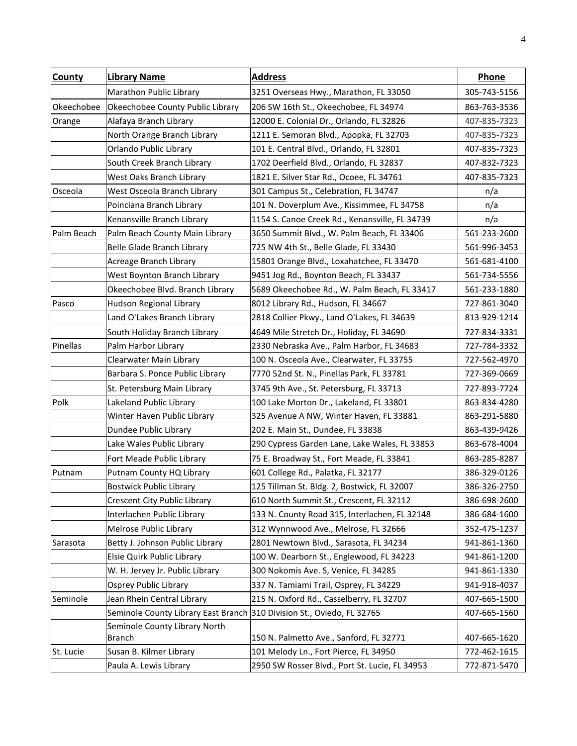| <b>County</b> | <b>Library Name</b>                                                    | <b>Address</b>                                 | Phone        |
|---------------|------------------------------------------------------------------------|------------------------------------------------|--------------|
|               | Marathon Public Library                                                | 3251 Overseas Hwy., Marathon, FL 33050         | 305-743-5156 |
| Okeechobee    | Okeechobee County Public Library                                       | 206 SW 16th St., Okeechobee, FL 34974          | 863-763-3536 |
| Orange        | Alafaya Branch Library                                                 | 12000 E. Colonial Dr., Orlando, FL 32826       | 407-835-7323 |
|               | North Orange Branch Library                                            | 1211 E. Semoran Blvd., Apopka, FL 32703        | 407-835-7323 |
|               | Orlando Public Library                                                 | 101 E. Central Blvd., Orlando, FL 32801        | 407-835-7323 |
|               | South Creek Branch Library                                             | 1702 Deerfield Blvd., Orlando, FL 32837        | 407-832-7323 |
|               | West Oaks Branch Library                                               | 1821 E. Silver Star Rd., Ocoee, FL 34761       | 407-835-7323 |
| Osceola       | West Osceola Branch Library                                            | 301 Campus St., Celebration, FL 34747          | n/a          |
|               | Poinciana Branch Library                                               | 101 N. Doverplum Ave., Kissimmee, FL 34758     | n/a          |
|               | Kenansville Branch Library                                             | 1154 S. Canoe Creek Rd., Kenansville, FL 34739 | n/a          |
| Palm Beach    | Palm Beach County Main Library                                         | 3650 Summit Blvd., W. Palm Beach, FL 33406     | 561-233-2600 |
|               | Belle Glade Branch Library                                             | 725 NW 4th St., Belle Glade, FL 33430          | 561-996-3453 |
|               | Acreage Branch Library                                                 | 15801 Orange Blvd., Loxahatchee, FL 33470      | 561-681-4100 |
|               | West Boynton Branch Library                                            | 9451 Jog Rd., Boynton Beach, FL 33437          | 561-734-5556 |
|               | Okeechobee Blvd. Branch Library                                        | 5689 Okeechobee Rd., W. Palm Beach, FL 33417   | 561-233-1880 |
| Pasco         | Hudson Regional Library                                                | 8012 Library Rd., Hudson, FL 34667             | 727-861-3040 |
|               | Land O'Lakes Branch Library                                            | 2818 Collier Pkwy., Land O'Lakes, FL 34639     | 813-929-1214 |
|               | South Holiday Branch Library                                           | 4649 Mile Stretch Dr., Holiday, FL 34690       | 727-834-3331 |
| Pinellas      | Palm Harbor Library                                                    | 2330 Nebraska Ave., Palm Harbor, FL 34683      | 727-784-3332 |
|               | Clearwater Main Library                                                | 100 N. Osceola Ave., Clearwater, FL 33755      | 727-562-4970 |
|               | Barbara S. Ponce Public Library                                        | 7770 52nd St. N., Pinellas Park, FL 33781      | 727-369-0669 |
|               | St. Petersburg Main Library                                            | 3745 9th Ave., St. Petersburg, FL 33713        | 727-893-7724 |
| Polk          | Lakeland Public Library                                                | 100 Lake Morton Dr., Lakeland, FL 33801        | 863-834-4280 |
|               | Winter Haven Public Library                                            | 325 Avenue A NW, Winter Haven, FL 33881        | 863-291-5880 |
|               | Dundee Public Library                                                  | 202 E. Main St., Dundee, FL 33838              | 863-439-9426 |
|               | Lake Wales Public Library                                              | 290 Cypress Garden Lane, Lake Wales, FL 33853  | 863-678-4004 |
|               | Fort Meade Public Library                                              | 75 E. Broadway St., Fort Meade, FL 33841       | 863-285-8287 |
| Putnam        | Putnam County HQ Library                                               | 601 College Rd., Palatka, FL 32177             | 386-329-0126 |
|               | <b>Bostwick Public Library</b>                                         | 125 Tillman St. Bldg. 2, Bostwick, FL 32007    | 386-326-2750 |
|               | Crescent City Public Library                                           | 610 North Summit St., Crescent, FL 32112       | 386-698-2600 |
|               | Interlachen Public Library                                             | 133 N. County Road 315, Interlachen, FL 32148  | 386-684-1600 |
|               | Melrose Public Library                                                 | 312 Wynnwood Ave., Melrose, FL 32666           | 352-475-1237 |
| Sarasota      | Betty J. Johnson Public Library                                        | 2801 Newtown Blvd., Sarasota, FL 34234         | 941-861-1360 |
|               | Elsie Quirk Public Library                                             | 100 W. Dearborn St., Englewood, FL 34223       | 941-861-1200 |
|               | W. H. Jervey Jr. Public Library                                        | 300 Nokomis Ave. S, Venice, FL 34285           | 941-861-1330 |
|               | <b>Osprey Public Library</b>                                           | 337 N. Tamiami Trail, Osprey, FL 34229         | 941-918-4037 |
| Seminole      | Jean Rhein Central Library                                             | 215 N. Oxford Rd., Casselberry, FL 32707       | 407-665-1500 |
|               | Seminole County Library East Branch 310 Division St., Oviedo, FL 32765 |                                                | 407-665-1560 |
|               | Seminole County Library North                                          |                                                |              |
|               | <b>Branch</b>                                                          | 150 N. Palmetto Ave., Sanford, FL 32771        | 407-665-1620 |
| St. Lucie     | Susan B. Kilmer Library                                                | 101 Melody Ln., Fort Pierce, FL 34950          | 772-462-1615 |
|               | Paula A. Lewis Library                                                 | 2950 SW Rosser Blvd., Port St. Lucie, FL 34953 | 772-871-5470 |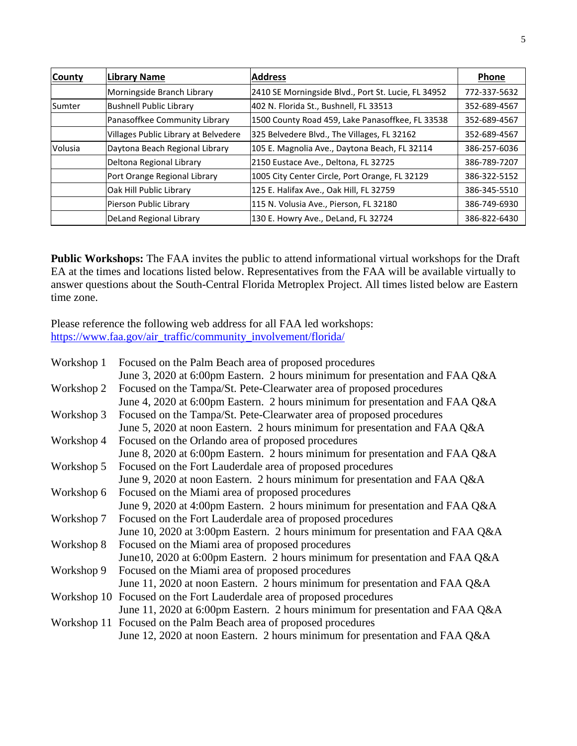| <b>County</b> | Library Name                         | <b>Address</b>                                      | Phone        |
|---------------|--------------------------------------|-----------------------------------------------------|--------------|
|               | Morningside Branch Library           | 2410 SE Morningside Blvd., Port St. Lucie, FL 34952 | 772-337-5632 |
| <b>Sumter</b> | <b>Bushnell Public Library</b>       | 402 N. Florida St., Bushnell, FL 33513              | 352-689-4567 |
|               | Panasoffkee Community Library        | 1500 County Road 459, Lake Panasoffkee, FL 33538    | 352-689-4567 |
|               | Villages Public Library at Belvedere | 325 Belvedere Blvd., The Villages, FL 32162         | 352-689-4567 |
| Volusia       | Daytona Beach Regional Library       | 105 E. Magnolia Ave., Daytona Beach, FL 32114       | 386-257-6036 |
|               | Deltona Regional Library             | 2150 Eustace Ave., Deltona, FL 32725                | 386-789-7207 |
|               | Port Orange Regional Library         | 1005 City Center Circle, Port Orange, FL 32129      | 386-322-5152 |
|               | Oak Hill Public Library              | 125 E. Halifax Ave., Oak Hill, FL 32759             | 386-345-5510 |
|               | Pierson Public Library               | 115 N. Volusia Ave., Pierson, FL 32180              | 386-749-6930 |
|               | DeLand Regional Library              | 130 E. Howry Ave., DeLand, FL 32724                 | 386-822-6430 |

**Public Workshops:** The FAA invites the public to attend informational virtual workshops for the Draft EA at the times and locations listed below. Representatives from the FAA will be available virtually to answer questions about the South-Central Florida Metroplex Project. All times listed below are Eastern time zone.

Please reference the following web address for all FAA led workshops: [https://www.faa.gov/air\\_traffic/community\\_involvement/florida/](https://www.faa.gov/air_traffic/community_involvement/florida/)

| Workshop 1 | Focused on the Palm Beach area of proposed procedures                         |
|------------|-------------------------------------------------------------------------------|
|            | June 3, 2020 at 6:00pm Eastern. 2 hours minimum for presentation and FAA Q&A  |
| Workshop 2 | Focused on the Tampa/St. Pete-Clearwater area of proposed procedures          |
|            | June 4, 2020 at 6:00pm Eastern. 2 hours minimum for presentation and FAA Q&A  |
| Workshop 3 | Focused on the Tampa/St. Pete-Clearwater area of proposed procedures          |
|            | June 5, 2020 at noon Eastern. 2 hours minimum for presentation and FAA Q&A    |
| Workshop 4 | Focused on the Orlando area of proposed procedures                            |
|            | June 8, 2020 at 6:00pm Eastern. 2 hours minimum for presentation and FAA Q&A  |
| Workshop 5 | Focused on the Fort Lauderdale area of proposed procedures                    |
|            | June 9, 2020 at noon Eastern. 2 hours minimum for presentation and FAA Q&A    |
| Workshop 6 | Focused on the Miami area of proposed procedures                              |
|            | June 9, 2020 at 4:00pm Eastern. 2 hours minimum for presentation and FAA Q&A  |
| Workshop 7 | Focused on the Fort Lauderdale area of proposed procedures                    |
|            | June 10, 2020 at 3:00pm Eastern. 2 hours minimum for presentation and FAA Q&A |
| Workshop 8 | Focused on the Miami area of proposed procedures                              |
|            | June 10, 2020 at 6:00pm Eastern. 2 hours minimum for presentation and FAA Q&A |
| Workshop 9 | Focused on the Miami area of proposed procedures                              |
|            | June 11, 2020 at noon Eastern. 2 hours minimum for presentation and FAA Q&A   |
|            | Workshop 10 Focused on the Fort Lauderdale area of proposed procedures        |
|            | June 11, 2020 at 6:00pm Eastern. 2 hours minimum for presentation and FAA Q&A |
|            | Workshop 11 Focused on the Palm Beach area of proposed procedures             |
|            | June 12, 2020 at noon Eastern. 2 hours minimum for presentation and FAA Q&A   |